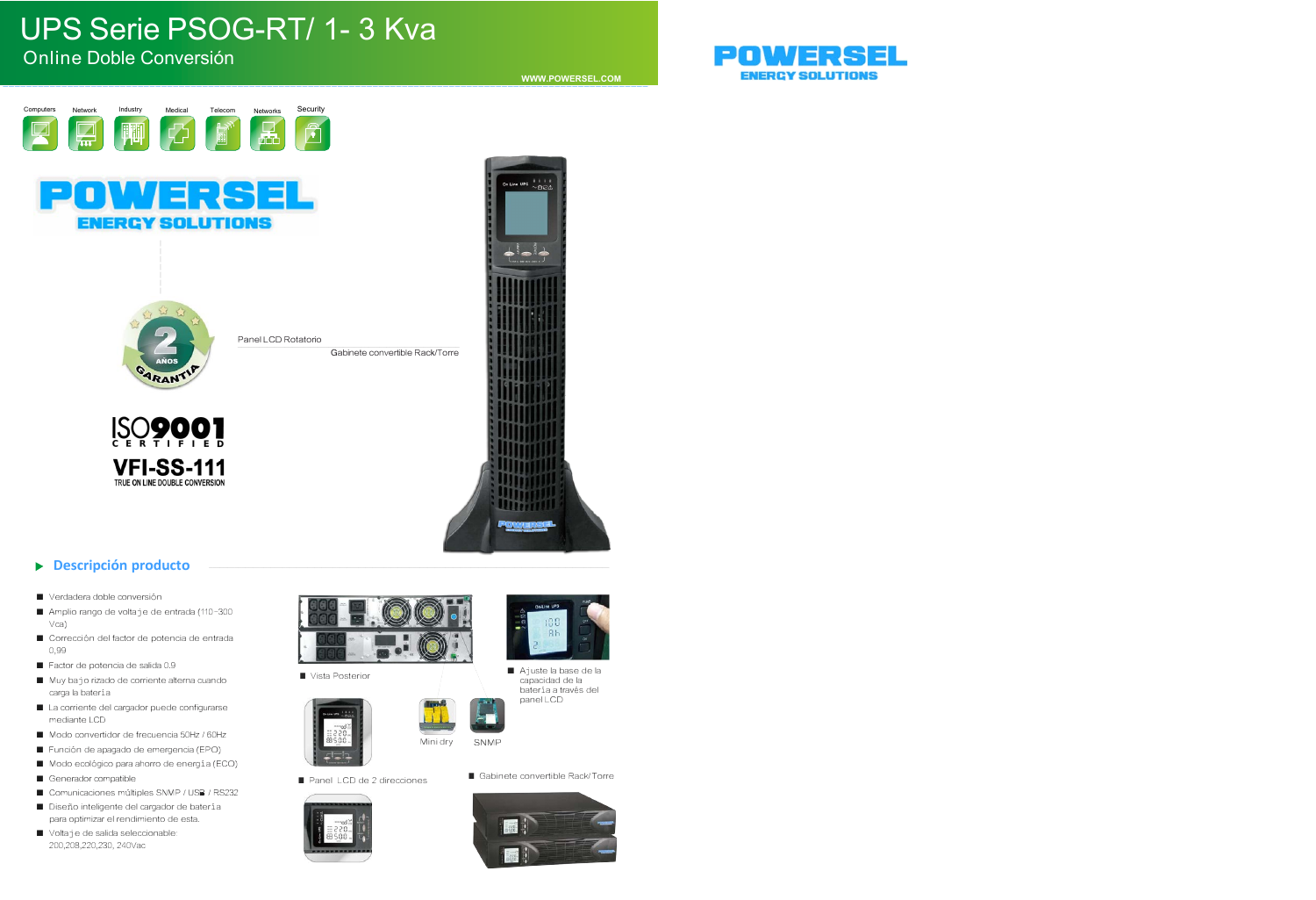# UPS Serie PSOG-RT/ 1- 3 Kva

#### Online Doble Conversión

**WWW.POWERSEL.COM** \_\_\_\_\_\_\_\_\_\_\_\_\_\_\_\_\_\_\_\_\_\_\_\_\_\_\_\_\_\_\_\_\_\_\_\_\_\_\_\_\_\_\_\_\_\_\_\_\_\_\_\_\_\_\_\_\_\_\_\_\_\_\_\_\_\_\_\_\_\_\_\_\_\_\_\_\_\_\_\_\_\_\_\_\_\_\_\_\_\_\_\_\_\_\_\_\_\_\_\_\_\_\_\_\_\_\_\_\_\_

ine UPS  $\frac{1}{\sqrt{15}}$ 



**ENERCY SOLUTIONS** 



\_\_\_\_\_\_\_\_\_\_\_\_\_\_\_\_ Panel LCD Rotatorio \_\_\_\_\_\_\_\_\_\_\_\_\_\_\_\_\_\_\_\_\_\_\_\_\_\_\_\_\_\_\_\_\_\_\_\_\_\_\_\_\_\_\_\_\_

Gabinete convertible Rack/Torre



#### **Descripción producto**  $\blacktriangleright$

- Verdadera doble conversión
- Amplio rango de voltaje de entrada (110-300 Vca)
- Corrección del factor de potencia de entrada 0,99
- Factor de potencia de salida 0.9
- Muy bajo rizado de corriente alterna cuando carga la batería
- La corriente del cargador puede configurarse mediante LCD
- Modo convertidor de frecuencia 50Hz / 60Hz
- Función de apagado de emergencia (EPO)
- Modo ecológico para ahorro de energía (ECO)
- Generador compatible
- Comunicaciones múltiples SNMP / USB / RS232
- Diseño inteligente del cargador de batería para optimizar el rendimiento de esta.
- Voltaje de salida seleccionable: 200,208,220,230, 240Vac



■ Vista Posterior







180  $R<sub>k</sub>$ 

- 
- Panel LCD de 2 direcciones